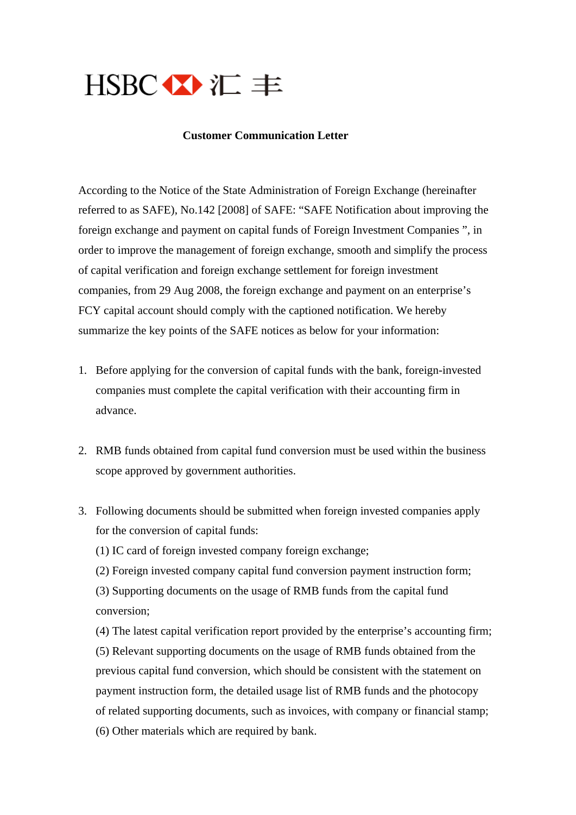

## **Customer Communication Letter**

According to the Notice of the State Administration of Foreign Exchange (hereinafter referred to as SAFE), No.142 [2008] of SAFE: "SAFE Notification about improving the foreign exchange and payment on capital funds of Foreign Investment Companies ", in order to improve the management of foreign exchange, smooth and simplify the process of capital verification and foreign exchange settlement for foreign investment companies, from 29 Aug 2008, the foreign exchange and payment on an enterprise's FCY capital account should comply with the captioned notification. We hereby summarize the key points of the SAFE notices as below for your information:

- 1. Before applying for the conversion of capital funds with the bank, foreign-invested companies must complete the capital verification with their accounting firm in advance.
- 2. RMB funds obtained from capital fund conversion must be used within the business scope approved by government authorities.
- 3. Following documents should be submitted when foreign invested companies apply for the conversion of capital funds:

(1) IC card of foreign invested company foreign exchange;

(2) Foreign invested company capital fund conversion payment instruction form;

(3) Supporting documents on the usage of RMB funds from the capital fund conversion;

(4) The latest capital verification report provided by the enterprise's accounting firm; (5) Relevant supporting documents on the usage of RMB funds obtained from the previous capital fund conversion, which should be consistent with the statement on payment instruction form, the detailed usage list of RMB funds and the photocopy of related supporting documents, such as invoices, with company or financial stamp; (6) Other materials which are required by bank.